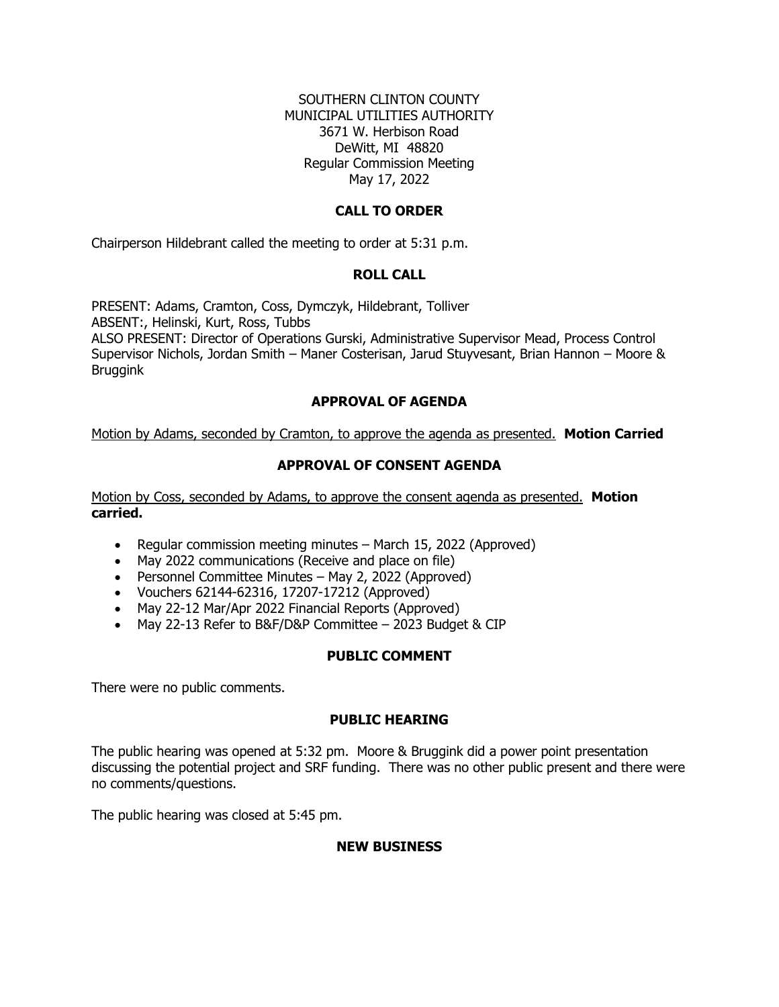### SOUTHERN CLINTON COUNTY MUNICIPAL UTILITIES AUTHORITY 3671 W. Herbison Road DeWitt, MI 48820 Regular Commission Meeting May 17, 2022

### **CALL TO ORDER**

Chairperson Hildebrant called the meeting to order at 5:31 p.m.

#### **ROLL CALL**

PRESENT: Adams, Cramton, Coss, Dymczyk, Hildebrant, Tolliver ABSENT:, Helinski, Kurt, Ross, Tubbs ALSO PRESENT: Director of Operations Gurski, Administrative Supervisor Mead, Process Control Supervisor Nichols, Jordan Smith – Maner Costerisan, Jarud Stuyvesant, Brian Hannon – Moore & Bruggink

### **APPROVAL OF AGENDA**

Motion by Adams, seconded by Cramton, to approve the agenda as presented. **Motion Carried**

# **APPROVAL OF CONSENT AGENDA**

Motion by Coss, seconded by Adams, to approve the consent agenda as presented. **Motion carried.** 

- Regular commission meeting minutes March 15, 2022 (Approved)
- May 2022 communications (Receive and place on file)
- Personnel Committee Minutes May 2, 2022 (Approved)
- Vouchers 62144-62316, 17207-17212 (Approved)
- May 22-12 Mar/Apr 2022 Financial Reports (Approved)
- May 22-13 Refer to B&F/D&P Committee 2023 Budget & CIP

#### **PUBLIC COMMENT**

There were no public comments.

# **PUBLIC HEARING**

The public hearing was opened at 5:32 pm. Moore & Bruggink did a power point presentation discussing the potential project and SRF funding. There was no other public present and there were no comments/questions.

The public hearing was closed at 5:45 pm.

#### **NEW BUSINESS**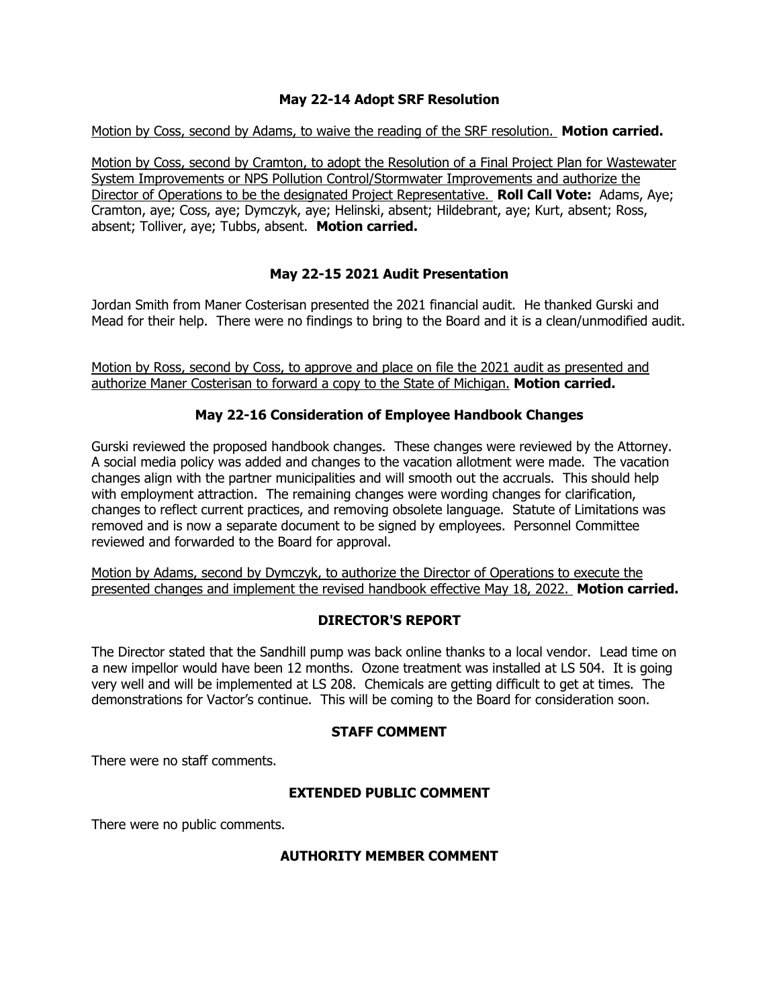# **May 22-14 Adopt SRF Resolution**

Motion by Coss, second by Adams, to waive the reading of the SRF resolution. **Motion carried.**

Motion by Coss, second by Cramton, to adopt the Resolution of a Final Project Plan for Wastewater System Improvements or NPS Pollution Control/Stormwater Improvements and authorize the Director of Operations to be the designated Project Representative. **Roll Call Vote:** Adams, Aye; Cramton, aye; Coss, aye; Dymczyk, aye; Helinski, absent; Hildebrant, aye; Kurt, absent; Ross, absent; Tolliver, aye; Tubbs, absent. **Motion carried.**

# **May 22-15 2021 Audit Presentation**

Jordan Smith from Maner Costerisan presented the 2021 financial audit. He thanked Gurski and Mead for their help. There were no findings to bring to the Board and it is a clean/unmodified audit.

Motion by Ross, second by Coss, to approve and place on file the 2021 audit as presented and authorize Maner Costerisan to forward a copy to the State of Michigan. **Motion carried.**

### **May 22-16 Consideration of Employee Handbook Changes**

Gurski reviewed the proposed handbook changes. These changes were reviewed by the Attorney. A social media policy was added and changes to the vacation allotment were made. The vacation changes align with the partner municipalities and will smooth out the accruals. This should help with employment attraction. The remaining changes were wording changes for clarification, changes to reflect current practices, and removing obsolete language. Statute of Limitations was removed and is now a separate document to be signed by employees. Personnel Committee reviewed and forwarded to the Board for approval.

Motion by Adams, second by Dymczyk, to authorize the Director of Operations to execute the presented changes and implement the revised handbook effective May 18, 2022. **Motion carried.**

#### **DIRECTOR'S REPORT**

The Director stated that the Sandhill pump was back online thanks to a local vendor. Lead time on a new impellor would have been 12 months. Ozone treatment was installed at LS 504. It is going very well and will be implemented at LS 208. Chemicals are getting difficult to get at times. The demonstrations for Vactor's continue. This will be coming to the Board for consideration soon.

#### **STAFF COMMENT**

There were no staff comments.

# **EXTENDED PUBLIC COMMENT**

There were no public comments.

#### **AUTHORITY MEMBER COMMENT**